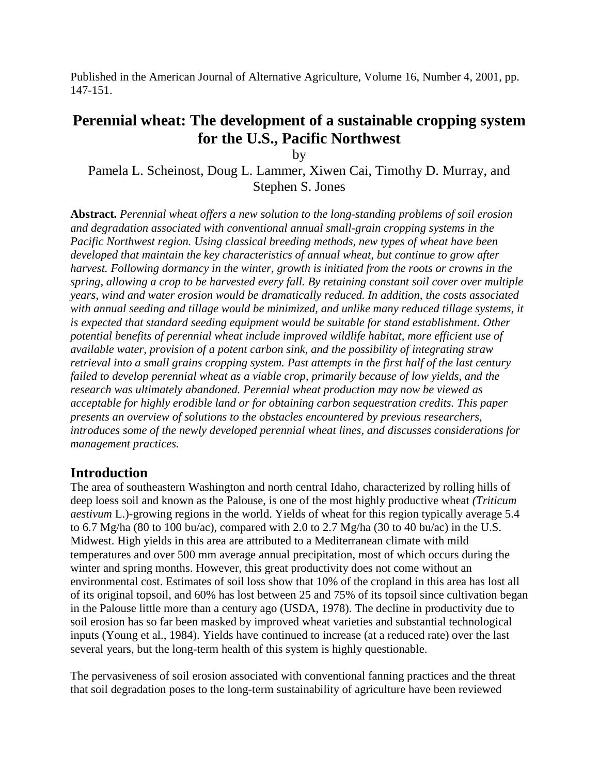Published in the American Journal of Alternative Agriculture, Volume 16, Number 4, 2001, pp. 147-151.

# **Perennial wheat: The development of a sustainable cropping system for the U.S., Pacific Northwest**

by

Pamela L. Scheinost, Doug L. Lammer, Xiwen Cai, Timothy D. Murray, and Stephen S. Jones

**Abstract.** *Perennial wheat offers a new solution to the long-standing problems of soil erosion and degradation associated with conventional annual small-grain cropping systems in the Pacific Northwest region. Using classical breeding methods, new types of wheat have been developed that maintain the key characteristics of annual wheat, but continue to grow after harvest. Following dormancy in the winter, growth is initiated from the roots or crowns in the spring, allowing a crop to be harvested every fall. By retaining constant soil cover over multiple years, wind and water erosion would be dramatically reduced. In addition, the costs associated with annual seeding and tillage would be minimized, and unlike many reduced tillage systems, it is expected that standard seeding equipment would be suitable for stand establishment. Other potential benefits of perennial wheat include improved wildlife habitat, more efficient use of available water, provision of a potent carbon sink, and the possibility of integrating straw retrieval into a small grains cropping system. Past attempts in the first half of the last century failed to develop perennial wheat as a viable crop, primarily because of low yields, and the research was ultimately abandoned. Perennial wheat production may now be viewed as acceptable for highly erodible land or for obtaining carbon sequestration credits. This paper presents an overview of solutions to the obstacles encountered by previous researchers, introduces some of the newly developed perennial wheat lines, and discusses considerations for management practices.*

#### **Introduction**

The area of southeastern Washington and north central Idaho, characterized by rolling hills of deep loess soil and known as the Palouse, is one of the most highly productive wheat *(Triticum aestivum* L.)-growing regions in the world. Yields of wheat for this region typically average 5.4 to 6.7 Mg/ha (80 to 100 bu/ac), compared with 2.0 to 2.7 Mg/ha (30 to 40 bu/ac) in the U.S. Midwest. High yields in this area are attributed to a Mediterranean climate with mild temperatures and over 500 mm average annual precipitation, most of which occurs during the winter and spring months. However, this great productivity does not come without an environmental cost. Estimates of soil loss show that 10% of the cropland in this area has lost all of its original topsoil, and 60% has lost between 25 and 75% of its topsoil since cultivation began in the Palouse little more than a century ago (USDA, 1978). The decline in productivity due to soil erosion has so far been masked by improved wheat varieties and substantial technological inputs (Young et al., 1984). Yields have continued to increase (at a reduced rate) over the last several years, but the long-term health of this system is highly questionable.

The pervasiveness of soil erosion associated with conventional fanning practices and the threat that soil degradation poses to the long-term sustainability of agriculture have been reviewed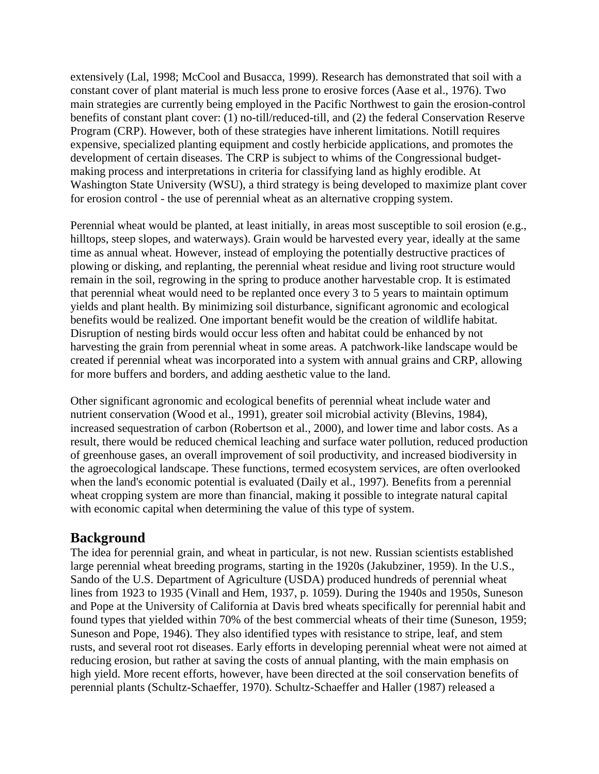extensively (Lal, 1998; McCool and Busacca, 1999). Research has demonstrated that soil with a constant cover of plant material is much less prone to erosive forces (Aase et al., 1976). Two main strategies are currently being employed in the Pacific Northwest to gain the erosion-control benefits of constant plant cover: (1) no-till/reduced-till, and (2) the federal Conservation Reserve Program (CRP). However, both of these strategies have inherent limitations. Notill requires expensive, specialized planting equipment and costly herbicide applications, and promotes the development of certain diseases. The CRP is subject to whims of the Congressional budgetmaking process and interpretations in criteria for classifying land as highly erodible. At Washington State University (WSU), a third strategy is being developed to maximize plant cover for erosion control - the use of perennial wheat as an alternative cropping system.

Perennial wheat would be planted, at least initially, in areas most susceptible to soil erosion (e.g., hilltops, steep slopes, and waterways). Grain would be harvested every year, ideally at the same time as annual wheat. However, instead of employing the potentially destructive practices of plowing or disking, and replanting, the perennial wheat residue and living root structure would remain in the soil, regrowing in the spring to produce another harvestable crop. It is estimated that perennial wheat would need to be replanted once every 3 to 5 years to maintain optimum yields and plant health. By minimizing soil disturbance, significant agronomic and ecological benefits would be realized. One important benefit would be the creation of wildlife habitat. Disruption of nesting birds would occur less often and habitat could be enhanced by not harvesting the grain from perennial wheat in some areas. A patchwork-like landscape would be created if perennial wheat was incorporated into a system with annual grains and CRP, allowing for more buffers and borders, and adding aesthetic value to the land.

Other significant agronomic and ecological benefits of perennial wheat include water and nutrient conservation (Wood et al., 1991), greater soil microbial activity (Blevins, 1984), increased sequestration of carbon (Robertson et al., 2000), and lower time and labor costs. As a result, there would be reduced chemical leaching and surface water pollution, reduced production of greenhouse gases, an overall improvement of soil productivity, and increased biodiversity in the agroecological landscape. These functions, termed ecosystem services, are often overlooked when the land's economic potential is evaluated (Daily et al., 1997). Benefits from a perennial wheat cropping system are more than financial, making it possible to integrate natural capital with economic capital when determining the value of this type of system.

#### **Background**

The idea for perennial grain, and wheat in particular, is not new. Russian scientists established large perennial wheat breeding programs, starting in the 1920s (Jakubziner, 1959). In the U.S., Sando of the U.S. Department of Agriculture (USDA) produced hundreds of perennial wheat lines from 1923 to 1935 (Vinall and Hem, 1937, p. 1059). During the 1940s and 1950s, Suneson and Pope at the University of California at Davis bred wheats specifically for perennial habit and found types that yielded within 70% of the best commercial wheats of their time (Suneson, 1959; Suneson and Pope, 1946). They also identified types with resistance to stripe, leaf, and stem rusts, and several root rot diseases. Early efforts in developing perennial wheat were not aimed at reducing erosion, but rather at saving the costs of annual planting, with the main emphasis on high yield. More recent efforts, however, have been directed at the soil conservation benefits of perennial plants (Schultz-Schaeffer, 1970). Schultz-Schaeffer and Haller (1987) released a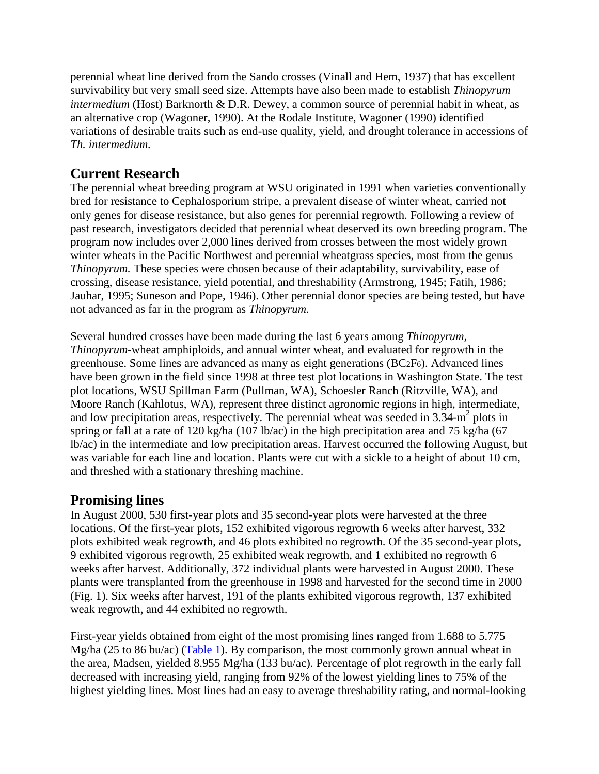perennial wheat line derived from the Sando crosses (Vinall and Hem, 1937) that has excellent survivability but very small seed size. Attempts have also been made to establish *Thinopyrum intermedium* (Host) Barknorth & D.R. Dewey, a common source of perennial habit in wheat, as an alternative crop (Wagoner, 1990). At the Rodale Institute, Wagoner (1990) identified variations of desirable traits such as end-use quality, yield, and drought tolerance in accessions of *Th. intermedium.*

# **Current Research**

The perennial wheat breeding program at WSU originated in 1991 when varieties conventionally bred for resistance to Cephalosporium stripe, a prevalent disease of winter wheat, carried not only genes for disease resistance, but also genes for perennial regrowth. Following a review of past research, investigators decided that perennial wheat deserved its own breeding program. The program now includes over 2,000 lines derived from crosses between the most widely grown winter wheats in the Pacific Northwest and perennial wheatgrass species, most from the genus *Thinopyrum.* These species were chosen because of their adaptability, survivability, ease of crossing, disease resistance, yield potential, and threshability (Armstrong, 1945; Fatih, 1986; Jauhar, 1995; Suneson and Pope, 1946). Other perennial donor species are being tested, but have not advanced as far in the program as *Thinopyrum.*

Several hundred crosses have been made during the last 6 years among *Thinopyrum, Thinopyrum*-wheat amphiploids, and annual winter wheat, and evaluated for regrowth in the greenhouse. Some lines are advanced as many as eight generations (BC2F6). Advanced lines have been grown in the field since 1998 at three test plot locations in Washington State. The test plot locations, WSU Spillman Farm (Pullman, WA), Schoesler Ranch (Ritzville, WA), and Moore Ranch (Kahlotus, WA), represent three distinct agronomic regions in high, intermediate, and low precipitation areas, respectively. The perennial wheat was seeded in  $3.34 \text{-} m^2$  plots in spring or fall at a rate of 120 kg/ha (107 lb/ac) in the high precipitation area and 75 kg/ha (67 lb/ac) in the intermediate and low precipitation areas. Harvest occurred the following August, but was variable for each line and location. Plants were cut with a sickle to a height of about 10 cm, and threshed with a stationary threshing machine.

### **Promising lines**

In August 2000, 530 first-year plots and 35 second-year plots were harvested at the three locations. Of the first-year plots, 152 exhibited vigorous regrowth 6 weeks after harvest, 332 plots exhibited weak regrowth, and 46 plots exhibited no regrowth. Of the 35 second-year plots, 9 exhibited vigorous regrowth, 25 exhibited weak regrowth, and 1 exhibited no regrowth 6 weeks after harvest. Additionally, 372 individual plants were harvested in August 2000. These plants were transplanted from the greenhouse in 1998 and harvested for the second time in 2000 (Fig. 1). Six weeks after harvest, 191 of the plants exhibited vigorous regrowth, 137 exhibited weak regrowth, and 44 exhibited no regrowth.

First-year yields obtained from eight of the most promising lines ranged from 1.688 to 5.775 Mg/ha (25 to 86 bu/ac) (Table 1). By comparison, the most commonly grown annual wheat in the area, Madsen, yielded 8.955 Mg/ha (133 bu/ac). Percentage of plot regrowth in the early fall decreased with increasing yield, ranging from 92% of the lowest yielding lines to 75% of the highest yielding lines. Most lines had an easy to average threshability rating, and normal-looking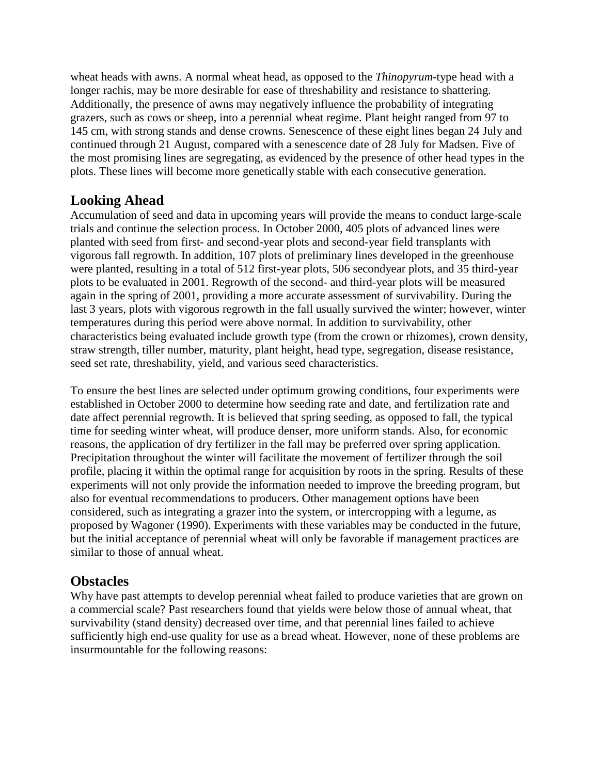wheat heads with awns. A normal wheat head, as opposed to the *Thinopyrum*-type head with a longer rachis, may be more desirable for ease of threshability and resistance to shattering. Additionally, the presence of awns may negatively influence the probability of integrating grazers, such as cows or sheep, into a perennial wheat regime. Plant height ranged from 97 to 145 cm, with strong stands and dense crowns. Senescence of these eight lines began 24 July and continued through 21 August, compared with a senescence date of 28 July for Madsen. Five of the most promising lines are segregating, as evidenced by the presence of other head types in the plots. These lines will become more genetically stable with each consecutive generation.

# **Looking Ahead**

Accumulation of seed and data in upcoming years will provide the means to conduct large-scale trials and continue the selection process. In October 2000, 405 plots of advanced lines were planted with seed from first- and second-year plots and second-year field transplants with vigorous fall regrowth. In addition, 107 plots of preliminary lines developed in the greenhouse were planted, resulting in a total of 512 first-year plots, 506 secondyear plots, and 35 third-year plots to be evaluated in 2001. Regrowth of the second- and third-year plots will be measured again in the spring of 2001, providing a more accurate assessment of survivability. During the last 3 years, plots with vigorous regrowth in the fall usually survived the winter; however, winter temperatures during this period were above normal. In addition to survivability, other characteristics being evaluated include growth type (from the crown or rhizomes), crown density, straw strength, tiller number, maturity, plant height, head type, segregation, disease resistance, seed set rate, threshability, yield, and various seed characteristics.

To ensure the best lines are selected under optimum growing conditions, four experiments were established in October 2000 to determine how seeding rate and date, and fertilization rate and date affect perennial regrowth. It is believed that spring seeding, as opposed to fall, the typical time for seeding winter wheat, will produce denser, more uniform stands. Also, for economic reasons, the application of dry fertilizer in the fall may be preferred over spring application. Precipitation throughout the winter will facilitate the movement of fertilizer through the soil profile, placing it within the optimal range for acquisition by roots in the spring. Results of these experiments will not only provide the information needed to improve the breeding program, but also for eventual recommendations to producers. Other management options have been considered, such as integrating a grazer into the system, or intercropping with a legume, as proposed by Wagoner (1990). Experiments with these variables may be conducted in the future, but the initial acceptance of perennial wheat will only be favorable if management practices are similar to those of annual wheat.

# **Obstacles**

Why have past attempts to develop perennial wheat failed to produce varieties that are grown on a commercial scale? Past researchers found that yields were below those of annual wheat, that survivability (stand density) decreased over time, and that perennial lines failed to achieve sufficiently high end-use quality for use as a bread wheat. However, none of these problems are insurmountable for the following reasons: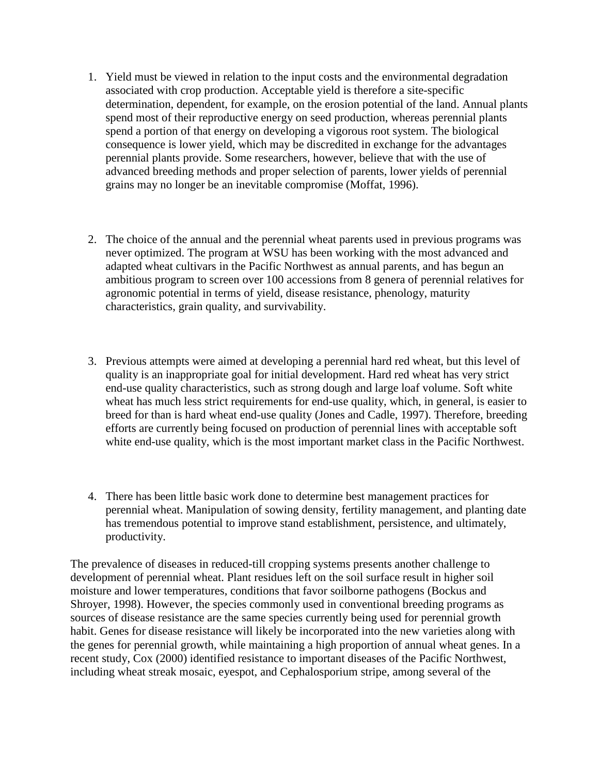- 1. Yield must be viewed in relation to the input costs and the environmental degradation associated with crop production. Acceptable yield is therefore a site-specific determination, dependent, for example, on the erosion potential of the land. Annual plants spend most of their reproductive energy on seed production, whereas perennial plants spend a portion of that energy on developing a vigorous root system. The biological consequence is lower yield, which may be discredited in exchange for the advantages perennial plants provide. Some researchers, however, believe that with the use of advanced breeding methods and proper selection of parents, lower yields of perennial grains may no longer be an inevitable compromise (Moffat, 1996).
- 2. The choice of the annual and the perennial wheat parents used in previous programs was never optimized. The program at WSU has been working with the most advanced and adapted wheat cultivars in the Pacific Northwest as annual parents, and has begun an ambitious program to screen over 100 accessions from 8 genera of perennial relatives for agronomic potential in terms of yield, disease resistance, phenology, maturity characteristics, grain quality, and survivability.
- 3. Previous attempts were aimed at developing a perennial hard red wheat, but this level of quality is an inappropriate goal for initial development. Hard red wheat has very strict end-use quality characteristics, such as strong dough and large loaf volume. Soft white wheat has much less strict requirements for end-use quality, which, in general, is easier to breed for than is hard wheat end-use quality (Jones and Cadle, 1997). Therefore, breeding efforts are currently being focused on production of perennial lines with acceptable soft white end-use quality, which is the most important market class in the Pacific Northwest.
- 4. There has been little basic work done to determine best management practices for perennial wheat. Manipulation of sowing density, fertility management, and planting date has tremendous potential to improve stand establishment, persistence, and ultimately, productivity.

The prevalence of diseases in reduced-till cropping systems presents another challenge to development of perennial wheat. Plant residues left on the soil surface result in higher soil moisture and lower temperatures, conditions that favor soilborne pathogens (Bockus and Shroyer, 1998). However, the species commonly used in conventional breeding programs as sources of disease resistance are the same species currently being used for perennial growth habit. Genes for disease resistance will likely be incorporated into the new varieties along with the genes for perennial growth, while maintaining a high proportion of annual wheat genes. In a recent study, Cox (2000) identified resistance to important diseases of the Pacific Northwest, including wheat streak mosaic, eyespot, and Cephalosporium stripe, among several of the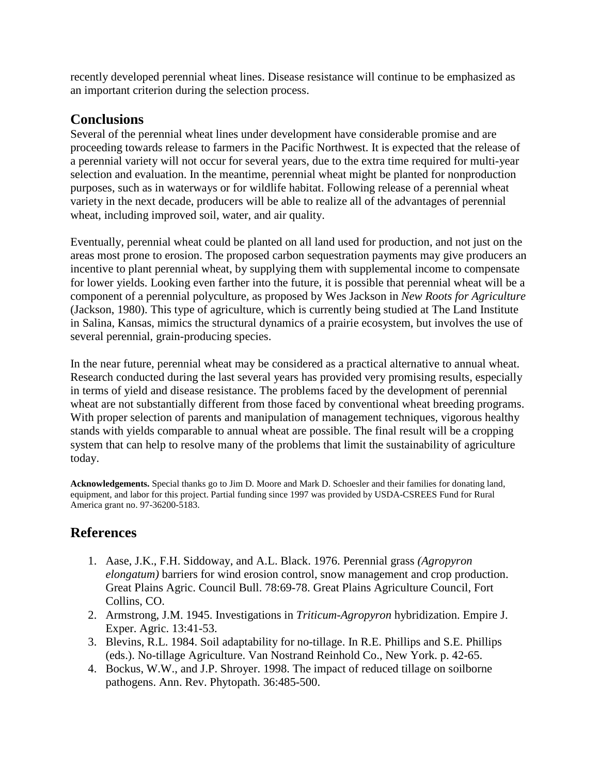recently developed perennial wheat lines. Disease resistance will continue to be emphasized as an important criterion during the selection process.

### **Conclusions**

Several of the perennial wheat lines under development have considerable promise and are proceeding towards release to farmers in the Pacific Northwest. It is expected that the release of a perennial variety will not occur for several years, due to the extra time required for multi-year selection and evaluation. In the meantime, perennial wheat might be planted for nonproduction purposes, such as in waterways or for wildlife habitat. Following release of a perennial wheat variety in the next decade, producers will be able to realize all of the advantages of perennial wheat, including improved soil, water, and air quality.

Eventually, perennial wheat could be planted on all land used for production, and not just on the areas most prone to erosion. The proposed carbon sequestration payments may give producers an incentive to plant perennial wheat, by supplying them with supplemental income to compensate for lower yields. Looking even farther into the future, it is possible that perennial wheat will be a component of a perennial polyculture, as proposed by Wes Jackson in *New Roots for Agriculture* (Jackson, 1980). This type of agriculture, which is currently being studied at The Land Institute in Salina, Kansas, mimics the structural dynamics of a prairie ecosystem, but involves the use of several perennial, grain-producing species.

In the near future, perennial wheat may be considered as a practical alternative to annual wheat. Research conducted during the last several years has provided very promising results, especially in terms of yield and disease resistance. The problems faced by the development of perennial wheat are not substantially different from those faced by conventional wheat breeding programs. With proper selection of parents and manipulation of management techniques, vigorous healthy stands with yields comparable to annual wheat are possible. The final result will be a cropping system that can help to resolve many of the problems that limit the sustainability of agriculture today.

**Acknowledgements.** Special thanks go to Jim D. Moore and Mark D. Schoesler and their families for donating land, equipment, and labor for this project. Partial funding since 1997 was provided by USDA-CSREES Fund for Rural America grant no. 97-36200-5183.

# **References**

- 1. Aase, J.K., F.H. Siddoway, and A.L. Black. 1976. Perennial grass *(Agropyron elongatum)* barriers for wind erosion control, snow management and crop production. Great Plains Agric. Council Bull. 78:69-78. Great Plains Agriculture Council, Fort Collins, CO.
- 2. Armstrong, J.M. 1945. Investigations in *Triticum-Agropyron* hybridization. Empire J. Exper. Agric. 13:41-53.
- 3. Blevins, R.L. 1984. Soil adaptability for no-tillage. In R.E. Phillips and S.E. Phillips (eds.). No-tillage Agriculture. Van Nostrand Reinhold Co., New York. p. 42-65.
- 4. Bockus, W.W., and J.P. Shroyer. 1998. The impact of reduced tillage on soilborne pathogens. Ann. Rev. Phytopath. 36:485-500.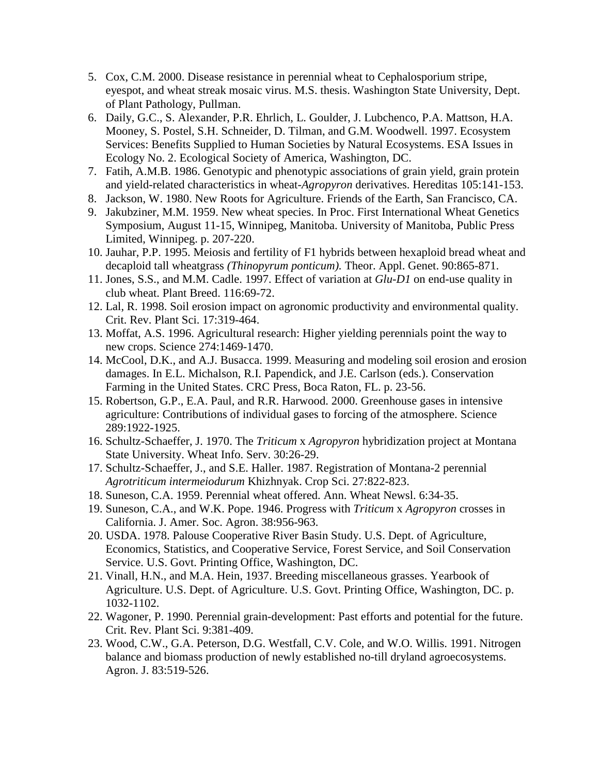- 5. Cox, C.M. 2000. Disease resistance in perennial wheat to Cephalosporium stripe, eyespot, and wheat streak mosaic virus. M.S. thesis. Washington State University, Dept. of Plant Pathology, Pullman.
- 6. Daily, G.C., S. Alexander, P.R. Ehrlich, L. Goulder, J. Lubchenco, P.A. Mattson, H.A. Mooney, S. Postel, S.H. Schneider, D. Tilman, and G.M. Woodwell. 1997. Ecosystem Services: Benefits Supplied to Human Societies by Natural Ecosystems. ESA Issues in Ecology No. 2. Ecological Society of America, Washington, DC.
- 7. Fatih, A.M.B. 1986. Genotypic and phenotypic associations of grain yield, grain protein and yield-related characteristics in wheat-*Agropyron* derivatives. Hereditas 105:141-153.
- 8. Jackson, W. 1980. New Roots for Agriculture. Friends of the Earth, San Francisco, CA.
- 9. Jakubziner, M.M. 1959. New wheat species. In Proc. First International Wheat Genetics Symposium, August 11-15, Winnipeg, Manitoba. University of Manitoba, Public Press Limited, Winnipeg. p. 207-220.
- 10. Jauhar, P.P. 1995. Meiosis and fertility of F1 hybrids between hexaploid bread wheat and decaploid tall wheatgrass *(Thinopyrum ponticum).* Theor. Appl. Genet. 90:865-871.
- 11. Jones, S.S., and M.M. Cadle. 1997. Effect of variation at *Glu-D1* on end-use quality in club wheat. Plant Breed. 116:69-72.
- 12. Lal, R. 1998. Soil erosion impact on agronomic productivity and environmental quality. Crit. Rev. Plant Sci. 17:319-464.
- 13. Moffat, A.S. 1996. Agricultural research: Higher yielding perennials point the way to new crops. Science 274:1469-1470.
- 14. McCool, D.K., and A.J. Busacca. 1999. Measuring and modeling soil erosion and erosion damages. In E.L. Michalson, R.I. Papendick, and J.E. Carlson (eds.). Conservation Farming in the United States. CRC Press, Boca Raton, FL. p. 23-56.
- 15. Robertson, G.P., E.A. Paul, and R.R. Harwood. 2000. Greenhouse gases in intensive agriculture: Contributions of individual gases to forcing of the atmosphere. Science 289:1922-1925.
- 16. Schultz-Schaeffer, J. 1970. The *Triticum* x *Agropyron* hybridization project at Montana State University. Wheat Info. Serv. 30:26-29.
- 17. Schultz-Schaeffer, J., and S.E. Haller. 1987. Registration of Montana-2 perennial *Agrotriticum intermeiodurum* Khizhnyak. Crop Sci. 27:822-823.
- 18. Suneson, C.A. 1959. Perennial wheat offered. Ann. Wheat Newsl. 6:34-35.
- 19. Suneson, C.A., and W.K. Pope. 1946. Progress with *Triticum* x *Agropyron* crosses in California. J. Amer. Soc. Agron. 38:956-963.
- 20. USDA. 1978. Palouse Cooperative River Basin Study. U.S. Dept. of Agriculture, Economics, Statistics, and Cooperative Service, Forest Service, and Soil Conservation Service. U.S. Govt. Printing Office, Washington, DC.
- 21. Vinall, H.N., and M.A. Hein, 1937. Breeding miscellaneous grasses. Yearbook of Agriculture. U.S. Dept. of Agriculture. U.S. Govt. Printing Office, Washington, DC. p. 1032-1102.
- 22. Wagoner, P. 1990. Perennial grain-development: Past efforts and potential for the future. Crit. Rev. Plant Sci. 9:381-409.
- 23. Wood, C.W., G.A. Peterson, D.G. Westfall, C.V. Cole, and W.O. Willis. 1991. Nitrogen balance and biomass production of newly established no-till dryland agroecosystems. Agron. J. 83:519-526.